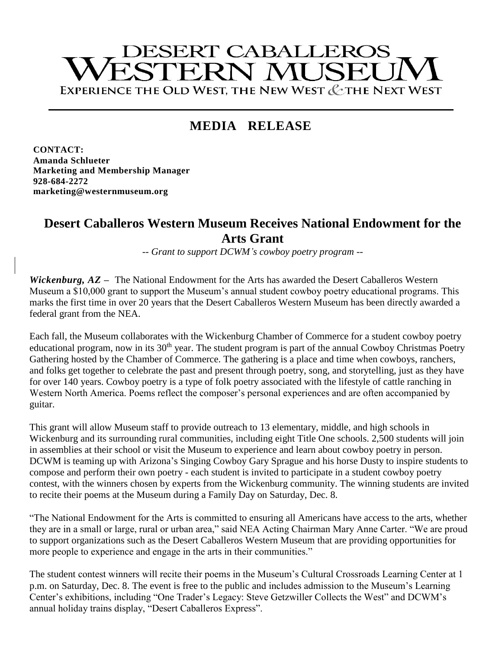# **DESERT CABALLEROS** ESTERN MUSEU EXPERIENCE THE OLD WEST, THE NEW WEST & THE NEXT WEST

## **MEDIA RELEASE**

**CONTACT: Amanda Schlueter Marketing and Membership Manager 928-684-2272 marketing@westernmuseum.org**

### **Desert Caballeros Western Museum Receives National Endowment for the Arts Grant**

*-- Grant to support DCWM's cowboy poetry program --*

*Wickenburg, AZ* **–** The National Endowment for the Arts has awarded the Desert Caballeros Western Museum a \$10,000 grant to support the Museum's annual student cowboy poetry educational programs. This marks the first time in over 20 years that the Desert Caballeros Western Museum has been directly awarded a federal grant from the NEA.

Each fall, the Museum collaborates with the Wickenburg Chamber of Commerce for a student cowboy poetry educational program, now in its  $30<sup>th</sup>$  year. The student program is part of the annual Cowboy Christmas Poetry Gathering hosted by the Chamber of Commerce. The gathering is a place and time when cowboys, ranchers, and folks get together to celebrate the past and present through poetry, song, and storytelling, just as they have for over 140 years. Cowboy poetry is a type of folk poetry associated with the lifestyle of cattle ranching in Western North America. Poems reflect the composer's personal experiences and are often accompanied by guitar.

This grant will allow Museum staff to provide outreach to 13 elementary, middle, and high schools in Wickenburg and its surrounding rural communities, including eight Title One schools. 2,500 students will join in assemblies at their school or visit the Museum to experience and learn about cowboy poetry in person. DCWM is teaming up with Arizona's Singing Cowboy Gary Sprague and his horse Dusty to inspire students to compose and perform their own poetry - each student is invited to participate in a student cowboy poetry contest, with the winners chosen by experts from the Wickenburg community. The winning students are invited to recite their poems at the Museum during a Family Day on Saturday, Dec. 8.

"The National Endowment for the Arts is committed to ensuring all Americans have access to the arts, whether they are in a small or large, rural or urban area," said NEA Acting Chairman Mary Anne Carter. "We are proud to support organizations such as the Desert Caballeros Western Museum that are providing opportunities for more people to experience and engage in the arts in their communities."

The student contest winners will recite their poems in the Museum's Cultural Crossroads Learning Center at 1 p.m. on Saturday, Dec. 8. The event is free to the public and includes admission to the Museum's Learning Center's exhibitions, including "One Trader's Legacy: Steve Getzwiller Collects the West" and DCWM's annual holiday trains display, "Desert Caballeros Express".